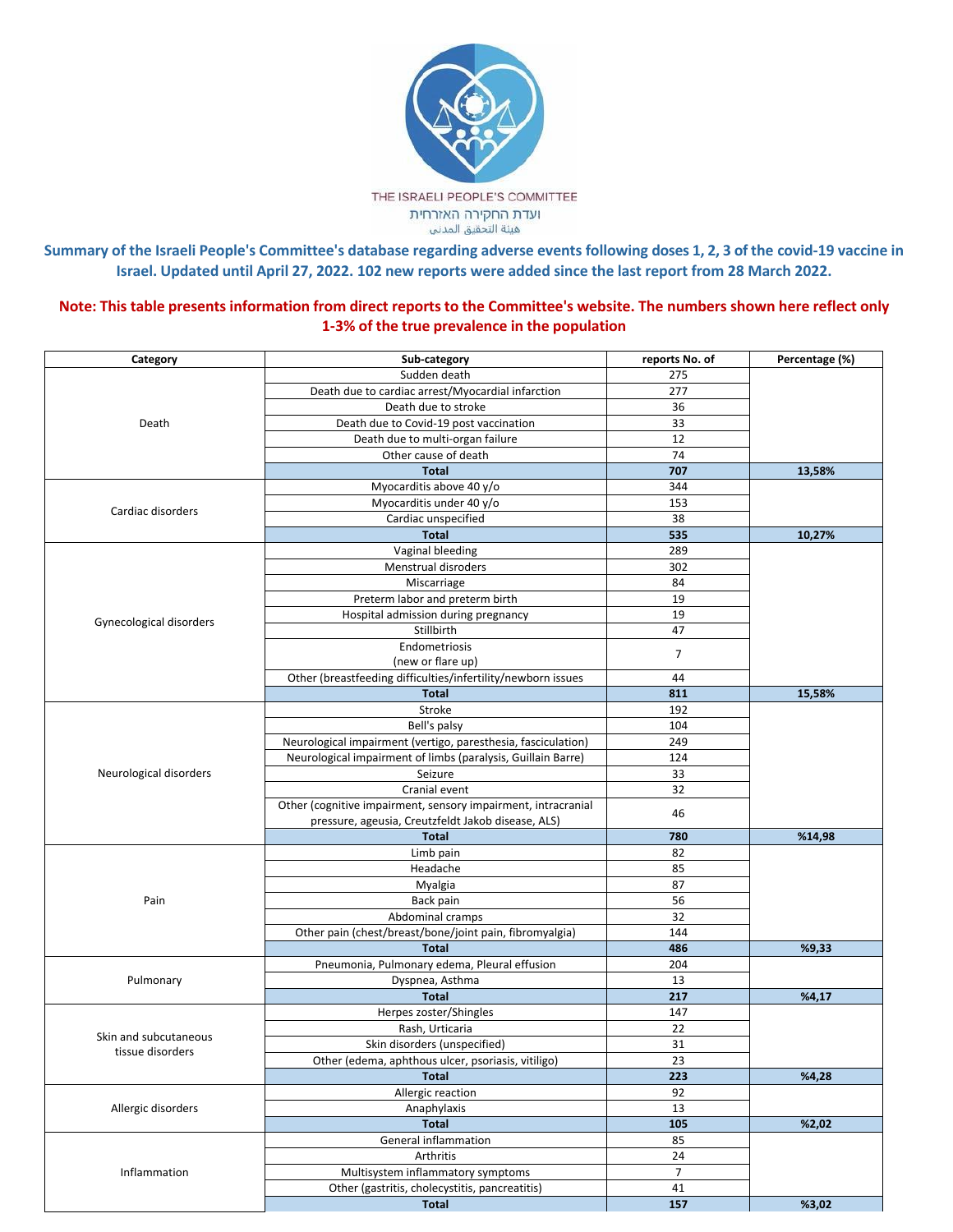

Summary of the Israeli People's Committee's database regarding adverse events following doses 1, 2, 3 of the covid-19 vaccine in **Israel. Updated until April 27, 2022. 102 new reports were added since the last report from 28 March 2022.**

Note: This table presents information from direct reports to the Committee's website. The numbers shown here reflect only **1-3% of the true prevalence in the population**

| Category                | Sub-category                                                  | reports No. of | Percentage (%) |
|-------------------------|---------------------------------------------------------------|----------------|----------------|
| Death                   | Sudden death                                                  | 275            |                |
|                         | Death due to cardiac arrest/Myocardial infarction             | 277            |                |
|                         | Death due to stroke                                           | 36             |                |
|                         | Death due to Covid-19 post vaccination                        | 33             |                |
|                         | Death due to multi-organ failure                              | 12             |                |
|                         | Other cause of death                                          | 74             |                |
|                         | <b>Total</b>                                                  | 707            | 13,58%         |
| Cardiac disorders       | Myocarditis above 40 y/o                                      | 344            |                |
|                         | Myocarditis under 40 y/o                                      | 153            |                |
|                         | Cardiac unspecified                                           | 38             |                |
|                         | <b>Total</b>                                                  | 535            | 10,27%         |
|                         | Vaginal bleeding                                              | 289            |                |
|                         | Menstrual disroders                                           | 302            |                |
|                         | Miscarriage                                                   | 84             |                |
|                         | Preterm labor and preterm birth                               | 19             |                |
| Gynecological disorders | Hospital admission during pregnancy                           | 19             |                |
|                         | Stillbirth                                                    | 47             |                |
|                         | Endometriosis                                                 | $\overline{7}$ |                |
|                         | (new or flare up)                                             |                |                |
|                         | Other (breastfeeding difficulties/infertility/newborn issues  | 44             |                |
|                         | <b>Total</b>                                                  | 811            | 15,58%         |
|                         | Stroke                                                        | 192            |                |
|                         | Bell's palsy                                                  | 104            |                |
|                         | Neurological impairment (vertigo, paresthesia, fasciculation) | 249            |                |
|                         | Neurological impairment of limbs (paralysis, Guillain Barre)  | 124            |                |
| Neurological disorders  | Seizure                                                       | 33             |                |
|                         | Cranial event                                                 | 32             |                |
|                         | Other (cognitive impairment, sensory impairment, intracranial | 46             |                |
|                         | pressure, ageusia, Creutzfeldt Jakob disease, ALS)            |                |                |
|                         | <b>Total</b>                                                  | 780            | %14,98         |
|                         | Limb pain                                                     | 82             |                |
|                         | Headache                                                      | 85             |                |
| Pain                    | Myalgia                                                       | 87             |                |
|                         | Back pain                                                     | 56             |                |
|                         | Abdominal cramps                                              | 32             |                |
|                         | Other pain (chest/breast/bone/joint pain, fibromyalgia)       | 144            |                |
|                         | <b>Total</b>                                                  | 486            | %9,33          |
| Pulmonary               | Pneumonia, Pulmonary edema, Pleural effusion                  | 204            |                |
|                         | Dyspnea, Asthma                                               | 13             |                |
|                         | <b>Total</b>                                                  | 217            | %4,17          |
|                         | Herpes zoster/Shingles                                        | 147            |                |
| Skin and subcutaneous   | Rash, Urticaria                                               | 22             |                |
|                         | Skin disorders (unspecified)                                  | 31             |                |
| tissue disorders        | Other (edema, aphthous ulcer, psoriasis, vitiligo)            | 23             |                |
|                         | <b>Total</b>                                                  | 223            | %4,28          |
| Allergic disorders      | Allergic reaction                                             | 92             |                |
|                         | Anaphylaxis                                                   | 13             |                |
|                         | <b>Total</b>                                                  | 105            | %2,02          |
| Inflammation            | General inflammation                                          | 85             |                |
|                         | Arthritis                                                     | 24             |                |
|                         | Multisystem inflammatory symptoms                             | $\overline{7}$ |                |
|                         | Other (gastritis, cholecystitis, pancreatitis)                | 41             |                |
|                         | <b>Total</b>                                                  | 157            | %3,02          |